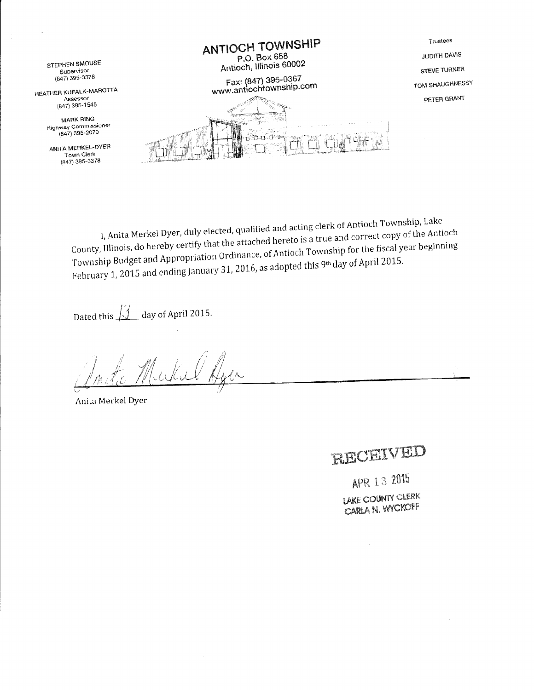

I, Anita Merkel Dyer, duly elected, qualified and acting clerk of Antioch Township, Lake County, Illinois, do hereby certify that the attached hereto is a true and correct copy of the Antioch Township Budget and Appropriation Ordinance, of Antioch Township for the fiscal year beginning February 1, 2015 and ending January 31, 2016, as adopted this 9th day of April 2015.

Dated this  $\sqrt{2}$  day of April 2015.

Jukil A

Anita Merkel Dyer

# RECEIVED

APR 13 2015 LAKE COUNTY CLERK CARLA N. WYCKOFF

 $\bar{z}$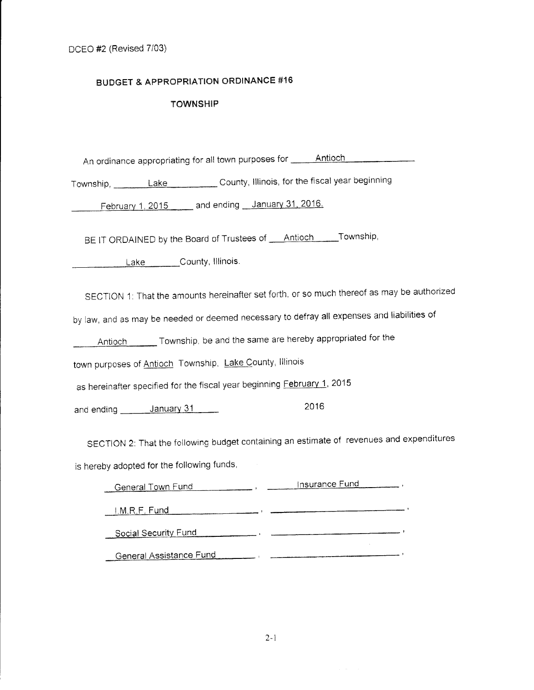## **BUDGET & APPROPRIATION ORDINANCE #16**

## **TOWNSHIP**

An ordinance appropriating for all town purposes for \_\_\_\_\_\_Antioch \_\_\_\_\_\_\_\_\_\_\_\_\_

Township, Lake County, Illinois, for the fiscal year beginning

February 1, 2015 \_\_\_\_\_ and ending \_\_ January 31, 2016.

BE IT ORDAINED by the Board of Trustees of **Antioch** Township,

Lake County, Illinois.

SECTION 1: That the amounts hereinafter set forth, or so much thereof as may be authorized

by law, and as may be needed or deemed necessary to defray all expenses and liabilities of

Antioch **Communist Township**, be and the same are hereby appropriated for the

town purposes of Antioch Township, Lake County, Illinois

as hereinafter specified for the fiscal year beginning February 1, 2015

2016 and ending \_\_\_\_\_\_\_ January 31

SECTION 2: That the following budget containing an estimate of revenues and expenditures is hereby adopted for the following funds,

| General Town Fund       | Insurance Fund |
|-------------------------|----------------|
| I.M.R.F. Fund           |                |
| Social Security Fund    |                |
| General Assistance Fund |                |

 $2 - 1$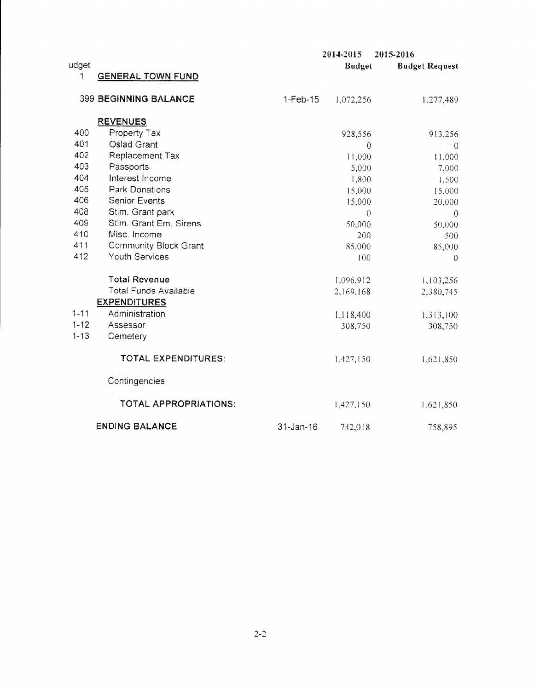|          |                              |                 | 2014-2015     | 2015-2016             |
|----------|------------------------------|-----------------|---------------|-----------------------|
| udget    |                              |                 | <b>Budget</b> | <b>Budget Request</b> |
| 1        | <b>GENERAL TOWN FUND</b>     |                 |               |                       |
|          |                              |                 |               |                       |
|          | <b>399 BEGINNING BALANCE</b> | $1-Feb-15$      | 1,072,256     | 1,277,489             |
|          |                              |                 |               |                       |
|          | <b>REVENUES</b>              |                 |               |                       |
| 400      | Property Tax                 |                 | 928,556       | 913,256               |
| 401      | Oslad Grant                  |                 | $\theta$      | $\mathbf 0$           |
| 402      | Replacement Tax              |                 | 11,000        | 11,000                |
| 403      | Passports                    |                 | 5,000         | 7,000                 |
| 404      | Interest Income              |                 | 1,800         | 1,500                 |
| 405      | <b>Park Donations</b>        |                 | 15,000        | 15,000                |
| 406      | <b>Senior Events</b>         |                 | 15,000        | 20,000                |
| 408      | Stim. Grant park             |                 | $\theta$      | $\overline{0}$        |
| 409      | Stim. Grant Em. Sirens       |                 | 50,000        | 50,000                |
| 410      | Misc. Income                 |                 | 200           | 500                   |
| 411      | <b>Community Block Grant</b> |                 | 85,000        | 85,000                |
| 412      | Youth Services               |                 | 100           | $\Omega$              |
|          | <b>Total Revenue</b>         |                 |               |                       |
|          | <b>Total Funds Available</b> |                 | 1,096,912     | 1,103,256             |
|          | <b>EXPENDITURES</b>          |                 | 2,169,168     | 2,380,745             |
| $1 - 11$ | Administration               |                 |               |                       |
| $1 - 12$ | Assessor                     |                 | 1,118,400     | 1,313,100             |
| $1 - 13$ | Cemetery                     |                 | 308,750       | 308,750               |
|          |                              |                 |               |                       |
|          | TOTAL EXPENDITURES:          |                 | 1,427,150     | 1,621,850             |
|          | Contingencies                |                 |               |                       |
|          | <b>TOTAL APPROPRIATIONS:</b> |                 | 1,427,150     | 1,621,850             |
|          |                              |                 |               |                       |
|          | <b>ENDING BALANCE</b>        | $31 - Jan - 16$ | 742,018       | 758,895               |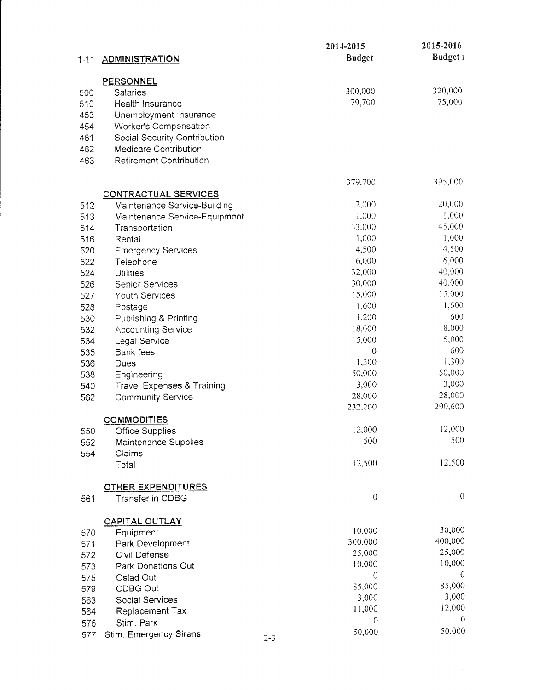|          |                                                              |         | 2014-2015         | 2015-2016       |
|----------|--------------------------------------------------------------|---------|-------------------|-----------------|
| $1 - 11$ | <b>ADMINISTRATION</b>                                        |         | <b>Budget</b>     | Budget 1        |
|          | <b>PERSONNEL</b>                                             |         |                   |                 |
| 500      | Salaries                                                     |         | 300,000           | 320,000         |
| 510      | Health Insurance                                             |         | 79,700            | 75,000          |
| 453      | Unemployment Insurance                                       |         |                   |                 |
| 454      | Worker's Compensation                                        |         |                   |                 |
| 461      |                                                              |         |                   |                 |
| 462      | Social Security Contribution<br><b>Medicare Contribution</b> |         |                   |                 |
|          | <b>Retirement Contribution</b>                               |         |                   |                 |
| 463      |                                                              |         |                   |                 |
|          |                                                              |         | 379,700           | 395,000         |
|          | <b>CONTRACTUAL SERVICES</b>                                  |         |                   |                 |
| 512      | Maintenance Service-Building                                 |         | 2,000             | 20,000          |
| 513      | Maintenance Service-Equipment                                |         | 1,000             | 1,000           |
| 514      | Transportation                                               |         | 33,000            | 45,000          |
| 516      | Rental                                                       |         | 1,000             | 1,000           |
| 520      | <b>Emergency Services</b>                                    |         | 4,500             | 4,500           |
| 522      | Telephone                                                    |         | 6,000             | 6,000           |
| 524      | <b>Utilities</b>                                             |         | 32,000            | 40,000          |
| 526      | Senior Services                                              |         | 30,000            | 40,000          |
| 527      | Youth Services                                               |         | 15,000            | 15.000          |
| 528      | Postage                                                      |         | 1,600             | 1,600           |
| 530      | Publishing & Printing                                        |         | 1,200             | 600             |
| 532      | <b>Accounting Service</b>                                    |         | 18,000            | 18,000          |
| 534      | Legal Service                                                |         | 15,000            | 15,000          |
| 535      | Bank fees                                                    |         | $\boldsymbol{0}$  | 600             |
| 536      | Dues                                                         |         | 1,300             | 1,300<br>50,000 |
| 538      | Engineering                                                  |         | 50,000            | 3,000           |
| 540      | <b>Travel Expenses &amp; Training</b>                        |         | 3,000             | 28,000          |
| 562      | <b>Community Service</b>                                     |         | 28,000<br>232,200 | 290,600         |
|          | <b>COMMODITIES</b>                                           |         |                   |                 |
| 550      | <b>Office Supplies</b>                                       |         | 12,000            | 12,000          |
| 552      | Maintenance Supplies                                         |         | 500               | 500             |
| 554      | Claims                                                       |         |                   |                 |
|          | Total                                                        |         | 12,500            | 12,500          |
|          |                                                              |         |                   |                 |
|          | <b>OTHER EXPENDITURES</b>                                    |         |                   | $\theta$        |
| 561      | Transfer in CDBG                                             |         | $\theta$          |                 |
|          | <b>CAPITAL OUTLAY</b>                                        |         |                   |                 |
| 570      | Equipment                                                    |         | 10,000            | 30,000          |
| 571      | Park Development                                             |         | 300,000           | 400,000         |
| 572      | Civil Defense                                                |         | 25,000            | 25,000          |
| 573      | Park Donations Out                                           |         | 10,000            | 10,000          |
| 575      | Oslad Out                                                    |         | $\overline{0}$    | $\theta$        |
| 579      | CDBG Out                                                     |         | 85,000            | 85,000          |
| 563      | Social Services                                              |         | 3,000             | 3,000           |
| 564      | Replacement Tax                                              |         | 11,000            | 12,000          |
| 576      | Stim. Park                                                   |         | 0                 | 0               |
| 577      | Stim. Emergency Sirens                                       | $2 - 3$ | 50,000            | 50,000          |
|          |                                                              |         |                   |                 |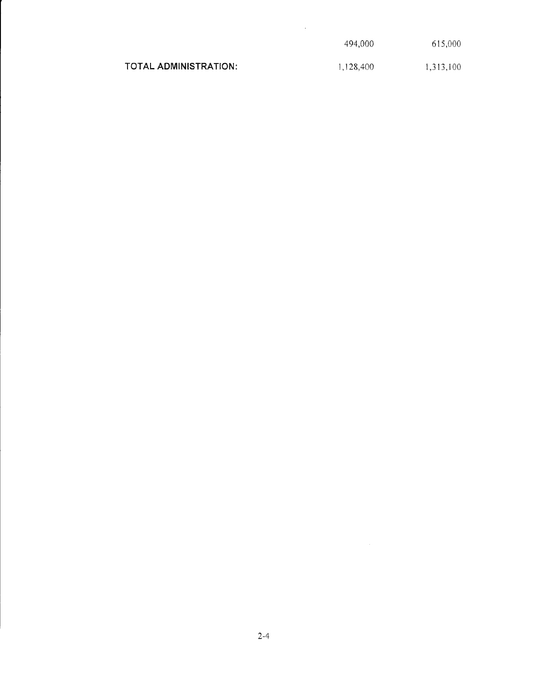|                       | 494.000   | 615,000   |
|-----------------------|-----------|-----------|
| TOTAL ADMINISTRATION: | 1,128,400 | 1,313,100 |

 $\mathcal{L}^{\text{max}}_{\text{max}}$  .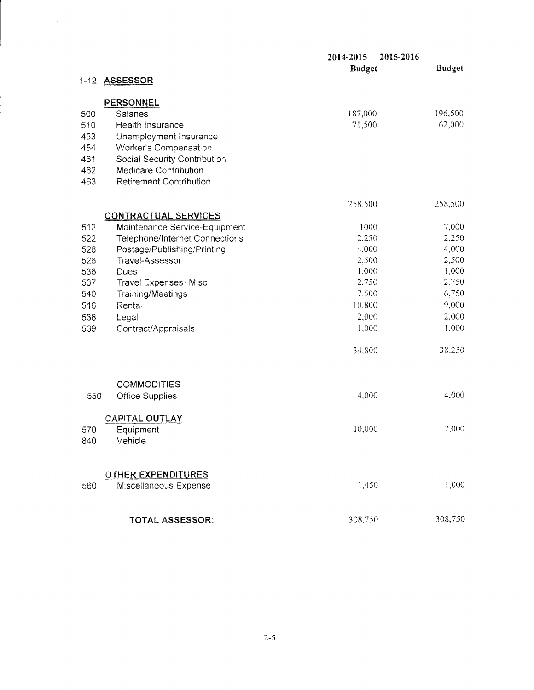|          |                                                    | 2015-2016<br>2014-2015<br><b>Budget</b> | <b>Budget</b> |
|----------|----------------------------------------------------|-----------------------------------------|---------------|
| $1 - 12$ | <b>ASSESSOR</b>                                    |                                         |               |
|          | <b>PERSONNEL</b>                                   |                                         |               |
| 500      | Salaries                                           | 187,000                                 | 196,500       |
| 510      | Health Insurance                                   | 71,500                                  | 62,000        |
| 453      | Unemployment Insurance                             |                                         |               |
| 454      | Worker's Compensation                              |                                         |               |
| 461      | Social Security Contribution                       |                                         |               |
| 462      | <b>Medicare Contribution</b>                       |                                         |               |
| 463      | <b>Retirement Contribution</b>                     |                                         |               |
|          |                                                    | 258,500                                 | 258,500       |
|          | <b>CONTRACTUAL SERVICES</b>                        |                                         |               |
| 512      | Maintenance Service-Equipment                      | 1000                                    | 7,000         |
| 522      | <b>Telephone/Internet Connections</b>              | 2,250                                   | 2,250         |
| 528      | Postage/Publishing/Printing                        | 4,000                                   | 4,000         |
| 526      | Travel-Assessor                                    | 2,500                                   | 2,500         |
| 536      | Dues                                               | 1,000                                   | 1,000         |
| 537      | Travel Expenses-Misc                               | 2,750                                   | 2,750         |
| 540      | <b>Training/Meetings</b>                           | 7,500                                   | 6,750         |
| 516      | Rental                                             | 10,800                                  | 9,000         |
| 538      | Legal                                              | 2,000                                   | 2,000         |
| 539      | Contract/Appraisals                                | 1,000                                   | 1,000         |
|          |                                                    | 34,800                                  | 38,250        |
|          | <b>COMMODITIES</b>                                 |                                         |               |
| 550      | <b>Office Supplies</b>                             | 4,000                                   | 4,000         |
|          | <b>CAPITAL OUTLAY</b>                              |                                         |               |
| 570      | Equipment                                          | 10,000                                  | 7,000         |
| 840      | Vehicle                                            |                                         |               |
|          |                                                    |                                         |               |
| 560      | <b>OTHER EXPENDITURES</b><br>Miscellaneous Expense | 1,450                                   | 1,000         |
|          | TOTAL ASSESSOR:                                    | 308,750                                 | 308,750       |
|          |                                                    |                                         |               |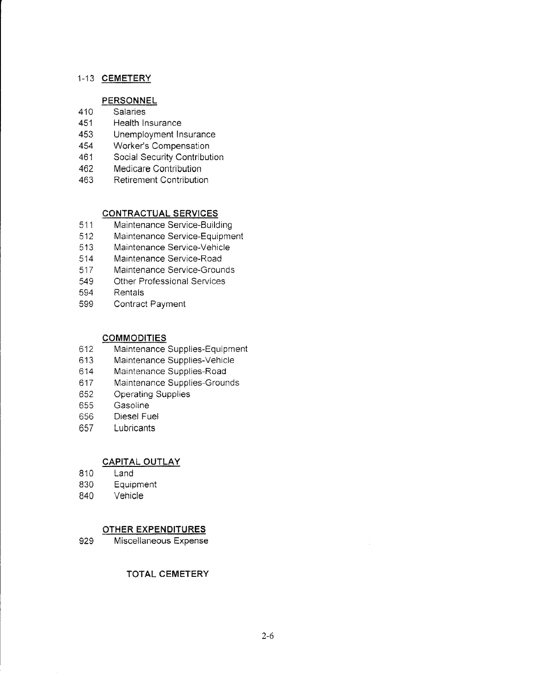#### 1-13 CEMETERY

## **PERSONNEL**

- 410 Salaries
- 451 Health lnsurance
- 453 Unemployment lnsurance
- 454 Worker's Compensation
- 461 Social Security Contribution
- 462 Medicare Contribution
- 463 Retirement Contribution

## CONTRACTUAL SERVICES

- 511 Maintenance Service-Building
- 512 Maintenance Service-Equipment
- 513 Maintenance Service-Vehicle
- 514 Maintenance Service-Road
- 517 Maintenance Service-Grounds
- 549 Other Professional Services
- 594 Rentals
- 599 Contract Payment

#### **COMMODITIES**

- 612 Maintenance Supplies-Equipment
- 613 Maintenance Supplies-Vehicle
- 614 Maintenance Supplies-Road
- 617 Maintenance Supplies-Grounds
- 652 Operating Supplies
- 655 Gasoline
- 656 Diesel Fuel
- 657 Lubricants

#### **CAPITAL OUTLAY**

- 810 Land
- 830 Equipment
- 840 Vehicle

## OTHER EXPENDITURES

929 Miscellaneous Expense

#### TOTAL CEMETERY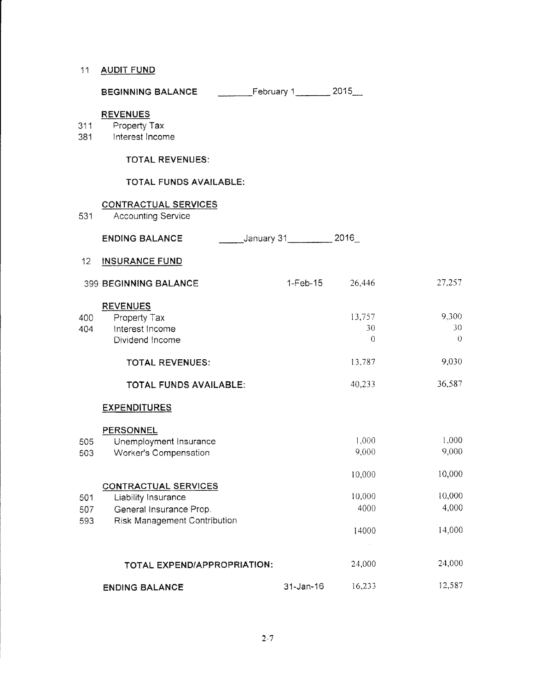#### 11 AUDIT FUND

| <b>BEGINNING BALANCE</b> | February 1 | 2015 |
|--------------------------|------------|------|
|--------------------------|------------|------|

#### **REVENUES**

- Property Tax  $311$
- 381 Interest Income

#### **TOTAL REVENUES:**

#### TOTAL FUNDS AVAILABLE:

#### **CONTRACTUAL SERVICES** 531 **Accounting Service** \_\_\_\_\_\_\_\_\_January 31\_\_\_\_\_\_\_\_\_\_\_\_\_ 2016\_ **ENDING BALANCE** 12 INSURANCE FUND 26,446 27,257 399 BEGINNING BALANCE  $1-Feb-15$ **REVENUES** 9,300 13,757 Property Tax 400 30 30 404 Interest Income  $\theta$  $\theta$ Dividend Income 13,787 9,030 **TOTAL REVENUES:** 36,587 40,233 **TOTAL FUNDS AVAILABLE: EXPENDITURES PERSONNEL** 1,000 1,000 505 Unemployment Insurance 9,000 9,000 Worker's Compensation 503 10,000 10,000 **CONTRACTUAL SERVICES** 10,000 10,000 501 Liability Insurance 4000 4,000 General Insurance Prop. 507 593 **Risk Management Contribution** 14,000 14000  $\sim$ 24,000 TOTAL EXPEND/APPROPRIATION: 24,000 16,233 12,587 31-Jan-16 **ENDING BALANCE**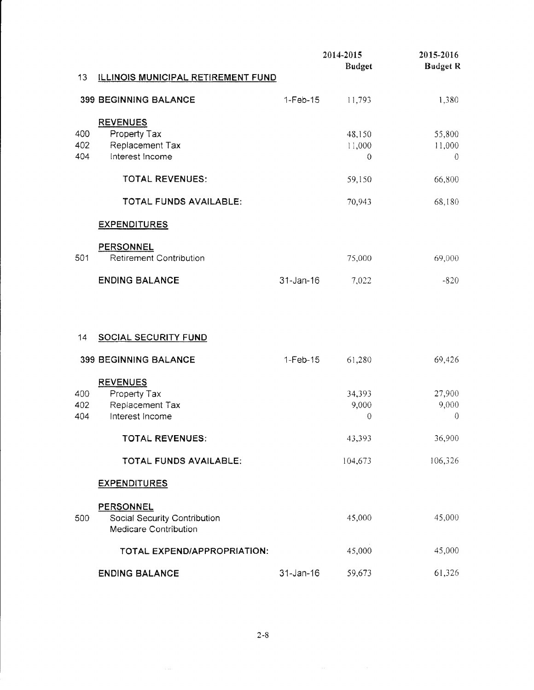|     |                                                    |              | 2014-2015      | 2015-2016       |
|-----|----------------------------------------------------|--------------|----------------|-----------------|
|     |                                                    |              | <b>Budget</b>  | <b>Budget R</b> |
| 13  | <u>ILLINOIS MUNICIPAL RETIREMENT FUND</u>          |              |                |                 |
|     | <b>399 BEGINNING BALANCE</b>                       | $1-Feb-15$   | 11,793         | 1,380           |
|     | <b>REVENUES</b>                                    |              |                |                 |
| 400 | Property Tax                                       |              | 48,150         | 55,800          |
| 402 | Replacement Tax                                    |              | 11,000         | 11,000          |
| 404 | Interest Income                                    |              | $\overline{0}$ | $\theta$        |
|     | <b>TOTAL REVENUES:</b>                             |              | 59,150         | 66,800          |
|     | TOTAL FUNDS AVAILABLE:                             |              | 70,943         | 68,180          |
|     | <b>EXPENDITURES</b>                                |              |                |                 |
|     |                                                    |              |                |                 |
| 501 | <b>PERSONNEL</b><br><b>Retirement Contribution</b> |              | 75,000         | 69,000          |
|     |                                                    |              |                |                 |
|     | <b>ENDING BALANCE</b>                              | 31-Jan-16    | 7,022          | $-820$          |
|     |                                                    |              |                |                 |
|     |                                                    |              |                |                 |
| 14  | <b>SOCIAL SECURITY FUND</b>                        |              |                |                 |
|     |                                                    |              |                |                 |
|     | <b>399 BEGINNING BALANCE</b>                       | $1-Feb-15$   | 61,280         | 69,426          |
|     | <b>REVENUES</b>                                    |              |                |                 |
| 400 | Property Tax                                       |              | 34,393         | 27,900          |
| 402 | Replacement Tax                                    |              | 9,000          | 9,000           |
| 404 | Interest Income                                    |              | $\mathbf 0$    | $\theta$        |
|     | <b>TOTAL REVENUES:</b>                             |              | 43,393         | 36,900          |
|     | TOTAL FUNDS AVAILABLE:                             |              | 104,673        | 106,326         |
|     |                                                    |              |                |                 |
|     | <b>EXPENDITURES</b>                                |              |                |                 |
|     | <b>PERSONNEL</b>                                   |              |                |                 |
| 500 | Social Security Contribution                       |              | 45,000         | 45,000          |
|     | Medicare Contribution                              |              |                |                 |
|     | TOTAL EXPEND/APPROPRIATION:                        |              | 45,000         | 45,000          |
|     |                                                    |              |                |                 |
|     | <b>ENDING BALANCE</b>                              | $31$ -Jan-16 | 59,673         | 61,326          |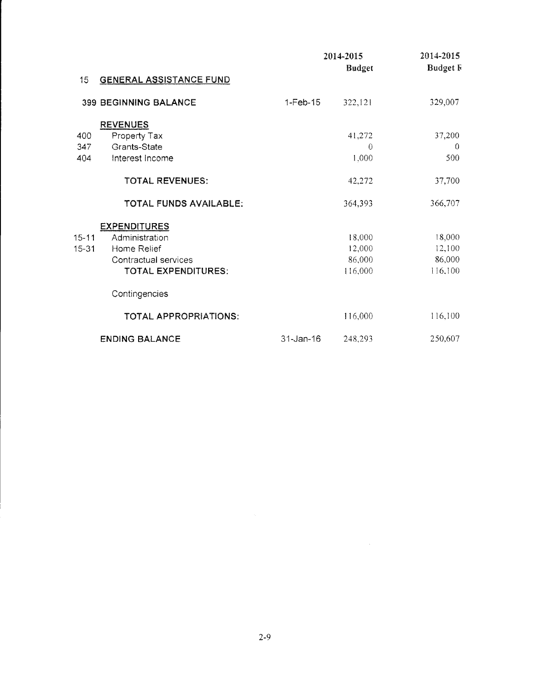|       |                                |            | 2014-2015     | 2014-2015       |
|-------|--------------------------------|------------|---------------|-----------------|
| 15    | <b>GENERAL ASSISTANCE FUND</b> |            | <b>Budget</b> | <b>Budget F</b> |
|       |                                |            |               |                 |
|       | <b>399 BEGINNING BALANCE</b>   | $1-Feb-15$ | 322,121       | 329,007         |
|       | <b>REVENUES</b>                |            |               |                 |
| 400   | Property Tax                   |            | 41,272        | 37,200          |
| 347   | Grants-State                   |            | $\Omega$      | $\theta$        |
| 404   | Interest Income                |            | 1,000         | 500             |
|       | <b>TOTAL REVENUES:</b>         |            | 42,272        | 37,700          |
|       | TOTAL FUNDS AVAILABLE:         |            | 364,393       | 366,707         |
|       | <b>EXPENDITURES</b>            |            |               |                 |
| 15-11 | Administration                 |            | 18,000        | 18,000          |
| 15-31 | Home Relief                    |            | 12,000        | 12,100          |
|       | Contractual services           |            | 86,000        | 86,000          |
|       | TOTAL EXPENDITURES:            |            | 116,000       | 116,100         |
|       | Contingencies                  |            |               |                 |
|       | TOTAL APPROPRIATIONS:          |            | 116,000       | 116,100         |
|       | <b>ENDING BALANCE</b>          | 31-Jan-16  | 248,293       | 250,607         |

 $\label{eq:2.1} \frac{1}{\sqrt{2}}\int_{\mathbb{R}^3}\frac{1}{\sqrt{2}}\left(\frac{1}{\sqrt{2}}\right)^2\frac{1}{\sqrt{2}}\left(\frac{1}{\sqrt{2}}\right)^2\frac{1}{\sqrt{2}}\left(\frac{1}{\sqrt{2}}\right)^2.$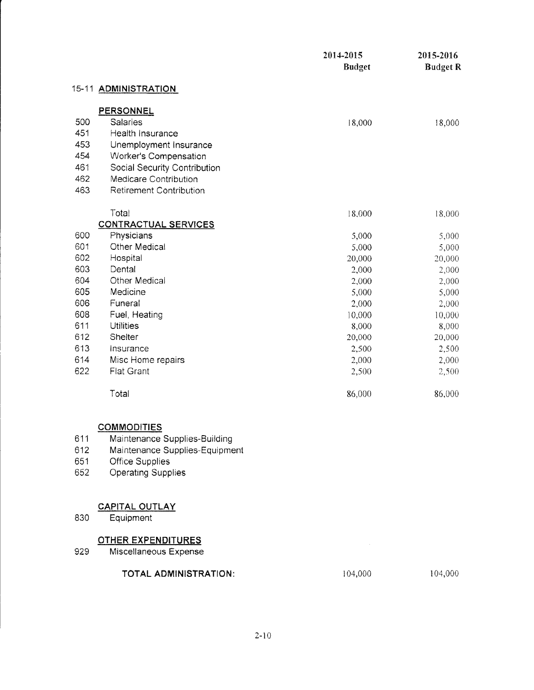|     |                                | 2014-2015<br><b>Budget</b> | 2015-2016<br><b>Budget R</b> |
|-----|--------------------------------|----------------------------|------------------------------|
|     | 15-11 ADMINISTRATION           |                            |                              |
|     | PERSONNEL                      |                            |                              |
| 500 | Salaries                       | 18,000                     | 18,000                       |
| 451 | Health Insurance               |                            |                              |
| 453 | Unemployment Insurance         |                            |                              |
| 454 | Worker's Compensation          |                            |                              |
| 461 | Social Security Contribution   |                            |                              |
| 462 | Medicare Contribution          |                            |                              |
| 463 | <b>Retirement Contribution</b> |                            |                              |
|     | Total                          | 18,000                     | 18,000                       |
|     | <b>CONTRACTUAL SERVICES</b>    |                            |                              |
| 600 | Physicians                     | 5,000                      | 5,000                        |
| 601 | <b>Other Medical</b>           | 5,000                      | 5,000                        |
| 602 | Hospital                       | 20,000                     | 20,000                       |
| 603 | Dental                         | 2,000                      | 2,000                        |
| 604 | Other Medical                  | 2,000                      | 2,000                        |
| 605 | Medicine                       | 5,000                      | 5,000                        |
| 606 | Funeral                        | 2,000                      | 2,000                        |
| 608 | Fuel, Heating                  | 10,000                     | 10,000                       |
| 611 | <b>Utilities</b>               | 8,000                      | 8,000                        |
| 612 | Shelter                        | 20,000                     | 20,000                       |
| 613 | Insurance                      | 2,500                      | 2,500                        |
| 614 | Misc Home repairs              | 2,000                      | 2,000                        |
| 622 | Flat Grant                     | 2,500                      | 2,500                        |
|     | Total                          | 86,000                     | 86,000                       |
|     | <b>COMMODITIES</b>             |                            |                              |
| 611 | Maintenance Supplies-Building  |                            |                              |
| 612 | Maintenance Supplies-Equipment |                            |                              |
| 651 | <b>Office Supplies</b>         |                            |                              |
| 652 | <b>Operating Supplies</b>      |                            |                              |
|     |                                |                            |                              |
|     | <b>CAPITAL OUTLAY</b>          |                            |                              |
| 830 | Equipment                      |                            |                              |
|     | <u>OTHER EXPENDITURES</u>      |                            |                              |
| 929 | Miscellaneous Expense          |                            |                              |
|     | TOTAL ADMINISTRATION:          | 104,000                    | 104,000                      |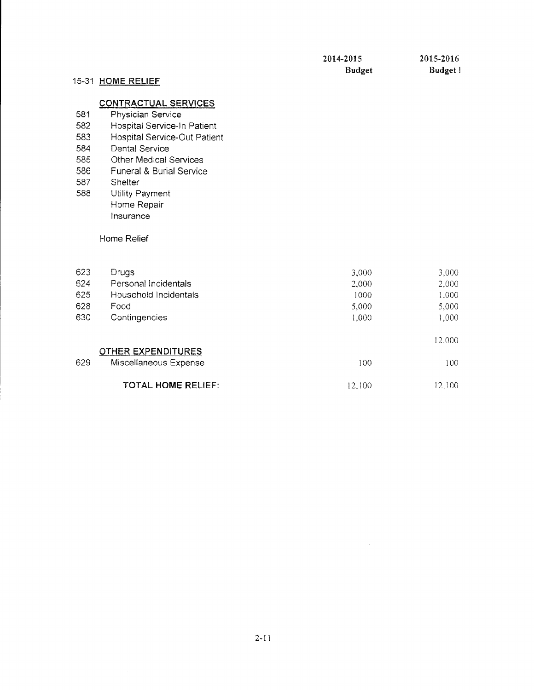12,100

12,100

## 15-31 HOME RELIEF

## **CONTRACTUAL SERVICES**

- 581 Physician Service
- 582 Hospital Service-In Patient
- 583 Hospital Service-Out Patient
- 584 **Dental Service**
- 585 **Other Medical Services**
- 586 **Funeral & Burial Service**
- 587 Shelter
- 588 Utility Payment Home Repair Insurance

#### Home Relief

| 623 | Drugs                 | 3,000 | 3,000  |
|-----|-----------------------|-------|--------|
| 624 | Personal Incidentals  | 2,000 | 2,000  |
| 625 | Household Incidentals | 1000  | 1,000  |
| 628 | Food                  | 5,000 | 5,000  |
| 630 | Contingencies         | 1.000 | 000,   |
|     |                       |       | 12,000 |

## **OTHER EXPENDITURES**

629 Miscellaneous Expense 100 100

**TOTAL HOME RELIEF:**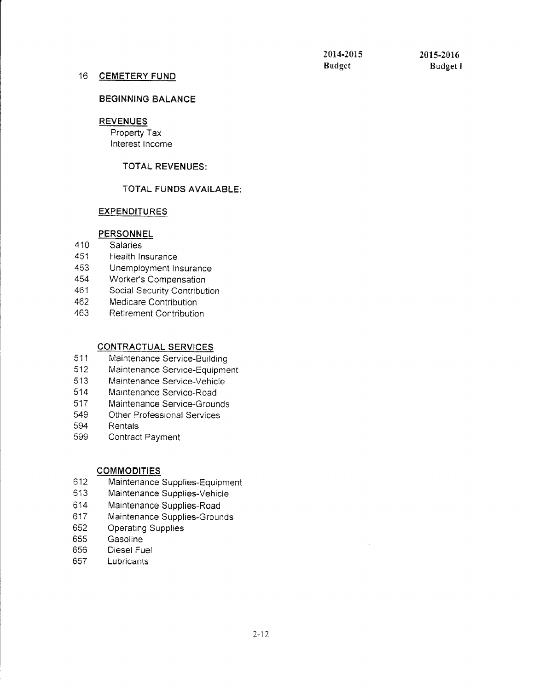#### 16 CEMETERY FUND

#### BEGINNING BALANCE

## REVENUES

Property Tax Interest Income

#### TOTAL REVENUES:

#### TOTAL FUNDS AVAILABLE:

#### **EXPENDITURES**

#### **PERSONNEL**

- 410 Salaries
- 451 Heaith Insurance
- 453 Unemployment Insurance
- 454 Worker's Compensation<br>461 Social Security Contribut
- Social Security Contribution
- 462 Medicare Contribution<br>463 Retirement Contributio
- Retirement Contribution

#### CONTRACTUAL SERVICES

- 511 Maintenance Service-Building
- 512 Maintenance Service-Equipment
- 513 Maintenance Service-Vehicle
- 514 Maintenance Service-Road
- 517 Maintenance Service-Grounds
- 549 Other Professional Services
- 594 Rentals
- 599 Contract Pavment

#### COMMODITIES

- 612 Maintenance Supplies-Equipment
- 613 Maintenance Supplies-Vehicle
- 614 Maintenance Supplies-Road
- 617 Maintenance Supplies-Grounds
- 652 Operating Suppiies
- 655 Gasoline
- 656 Diesel Fuel
- 657 Lubricants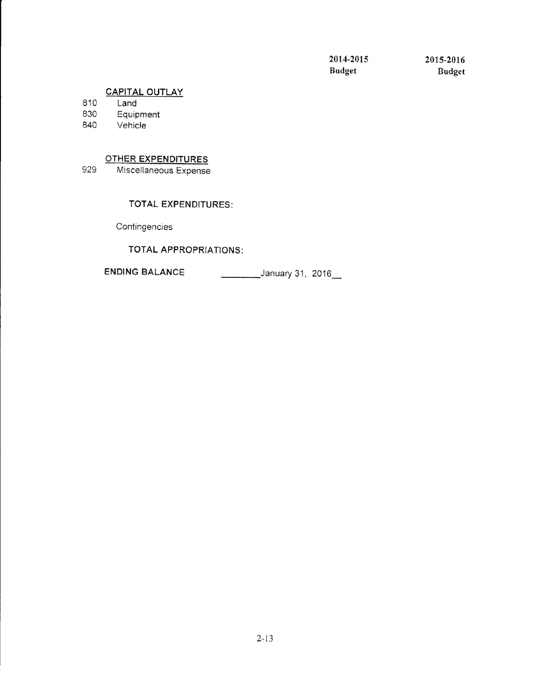$\mathcal{A}^{\pm}$ 

Budget Budget

## CAPITAL OUTLAY

810 Land

830 Equipment<br>840 Vehicle

Vehicle

## OTHER EXPENDITURES

929 Miscellaneous Expense

## TOTAL EXPENDITURES:

**Contingencies** 

TOTAL APPROPRIATION\$:

ENDING BALANCE January 31, 2016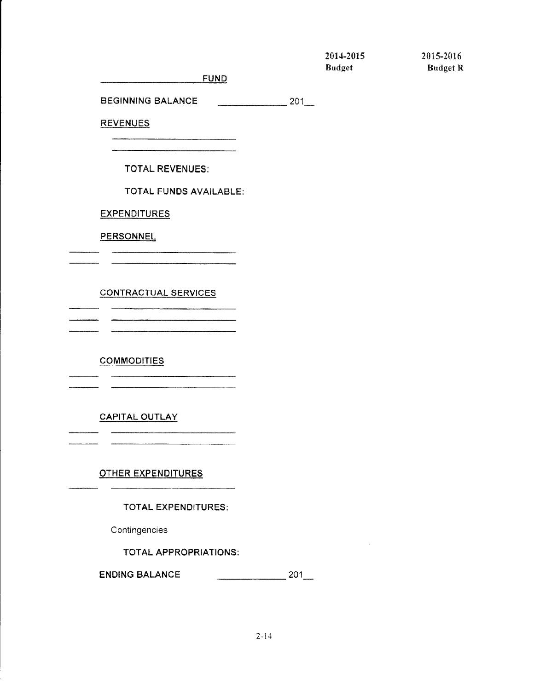| 2014-2015 |  |
|-----------|--|
| Rudgat    |  |

2015-2016 Budget Budget R

**FUND** 

BEGINNING BALANCE 201

**REVENUES** 

TOTAL REVENUES:

TOTAL FUNDS AVAILABLE:

**EXPENDITURES** 

**PERSONNEL** 

CONTRACTUAL SERVICES

**COMMODITIES** 

CAPITAL OUTLAY

OTHER EXPENDITURES

TOTAL EXPENDITURES:

**Contingencies** 

TOTAL APFROPRIATIONS:

ENDING BALANCE  $201$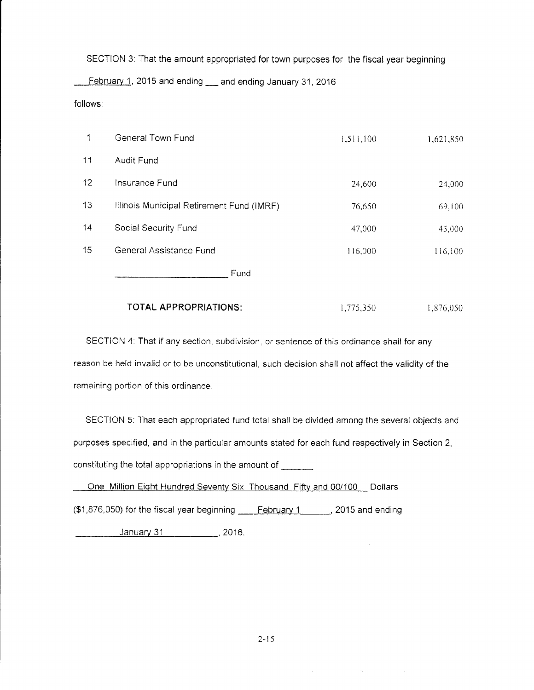SECTION 3: That the amount appropriated for town purposes for the fiscal year beginning

February 1, 2015 and ending \_\_ and ending January 31, 2016

follows:

| 1  | General Town Fund                         | 1,511,100 | 1,621,850 |
|----|-------------------------------------------|-----------|-----------|
| 11 | Audit Fund                                |           |           |
| 12 | Insurance Fund                            | 24,600    | 24,000    |
| 13 | Illinois Municipal Retirement Fund (IMRF) | 76,650    | 69,100    |
| 14 | Social Security Fund                      | 47,000    | 45,000    |
| 15 | General Assistance Fund                   | 116,000   | 116,100   |
|    | Fund                                      |           |           |

## TOTAL APPROPRIATIONS: 1,775,350 1,876,050

SECTION 4: That if any section, subdivision, or sentence of this ordinance shall for any reason be held invalid or to be unconstitutional, such decision shall not affect the validity of the remaining portion of this ordinance.

SECTION 5: That each appropriated fund total shall be divided among the several objects and purposes specified, and in the particular amounts stated for each fund respectively in Section 2, constituting the total appropriations in the amount of

One Million Eight Hundred Seventy Six Thousand Fifty and 00/100 Dollars  $($1,876,050)$  for the fiscal year beginning  $\qquad \qquad$  February 1  $\qquad \qquad$  2015 and ending January 31 (2016)

 $\mathcal{A}^{\pm}$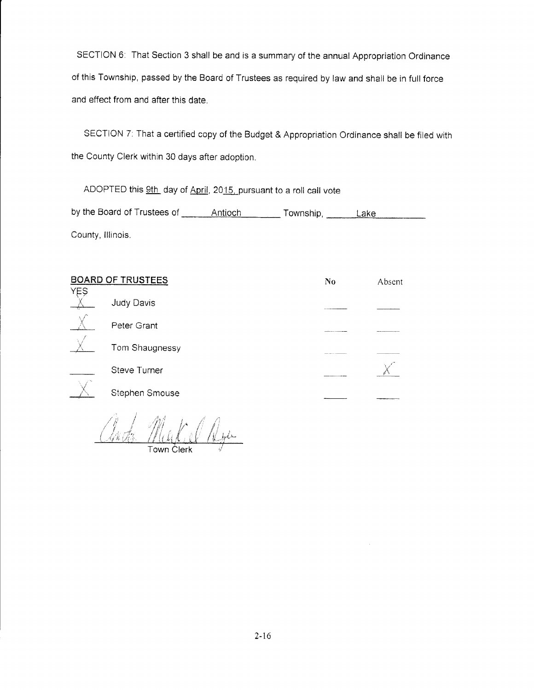SECTION 6: That Section 3 shall be and is a summary of the annual Appropriation Ordinance of this Township, passed by the Board of Trustees as required by law and shall be in full force and effect from and after this date.

SECTION 7: That a certified copy of the Budget & Appropriation Ordinance shall be filed with the County Clerk within 30 days after adoption.

ADOPTED this 9th day of April, 2015, pursuant to a roll call vote by the Board of Trustees of \_\_\_\_\_\_\_ Antioch \_\_\_\_\_\_\_\_ Township, \_\_\_\_\_\_ Lake County, lllinois

| <b>BOARD OF TRUSTEES</b> |                     | No | Absent |
|--------------------------|---------------------|----|--------|
| <b>YES</b>               | Judy Davis          |    |        |
|                          | Peter Grant         |    |        |
|                          | Tom Shaugnessy      |    |        |
|                          | <b>Steve Turner</b> |    |        |
|                          | Stephen Smouse      |    |        |

anto Markel Rya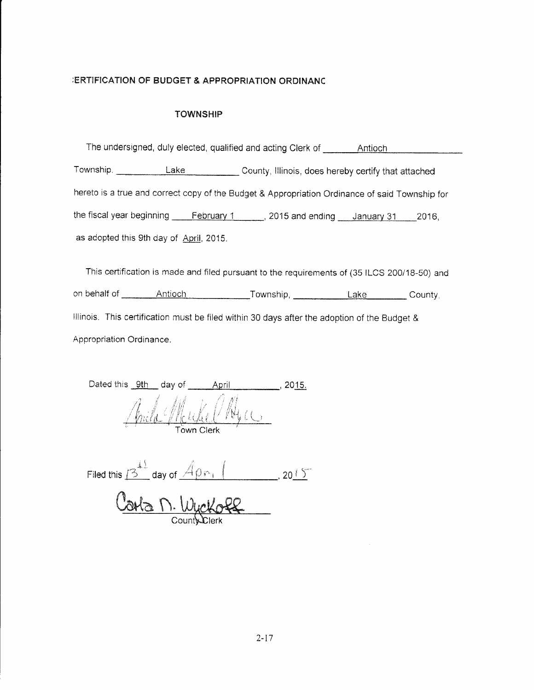## **ERTIFICATION OF BUDGET & APPROPRIATION ORDINANC**

#### TOWNSHIP

|                                         |            | The undersigned, duly elected, qualified and acting Clerk of                                   | Antioch |       |
|-----------------------------------------|------------|------------------------------------------------------------------------------------------------|---------|-------|
| Township.                               | Lake       | County, Illinois, does hereby certify that attached                                            |         |       |
|                                         |            | hereto is a true and correct copy of the Budget & Appropriation Ordinance of said Township for |         |       |
| the fiscal year beginning               | February 1 | 2015 and ending <u>January 31</u>                                                              |         | 2016. |
| as adopted this 9th day of April, 2015. |            |                                                                                                |         |       |

This certification is made and filed pursuant to the requirements of (35 ILCS 200/18-50) and on behalf of Antioch Township, Lake Countv. Illinois. This certification must be filed within 30 days after the adoption of the Budget & Appropriation Ordinance.

| Dated this | - 9th                | day of |                                |  |
|------------|----------------------|--------|--------------------------------|--|
|            | $\mathbb{Z}_*$<br>Ħ. |        | $\mathbb{C}$ that $\mathbb{C}$ |  |
|            |                      |        | <b>Town Clerk</b>              |  |

Filed this  $\sqrt{3}$  day of  $\sqrt{4 \rho_{\text{Pl}} + 4 \rho_{\text{Pl}} + 20.65}$